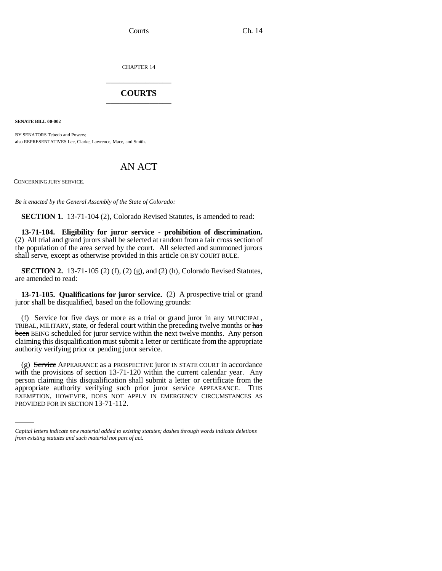Courts Ch. 14

CHAPTER 14 \_\_\_\_\_\_\_\_\_\_\_\_\_\_\_

## **COURTS** \_\_\_\_\_\_\_\_\_\_\_\_\_\_\_

**SENATE BILL 00-002** 

BY SENATORS Tebedo and Powers; also REPRESENTATIVES Lee, Clarke, Lawrence, Mace, and Smith.

## AN ACT

CONCERNING JURY SERVICE.

*Be it enacted by the General Assembly of the State of Colorado:*

**SECTION 1.** 13-71-104 (2), Colorado Revised Statutes, is amended to read:

**13-71-104. Eligibility for juror service - prohibition of discrimination.** (2) All trial and grand jurors shall be selected at random from a fair cross section of the population of the area served by the court. All selected and summoned jurors shall serve, except as otherwise provided in this article OR BY COURT RULE.

**SECTION 2.** 13-71-105 (2) (f), (2) (g), and (2) (h), Colorado Revised Statutes, are amended to read:

**13-71-105. Qualifications for juror service.** (2) A prospective trial or grand juror shall be disqualified, based on the following grounds:

(f) Service for five days or more as a trial or grand juror in any MUNICIPAL, TRIBAL, MILITARY, state, or federal court within the preceding twelve months or has been BEING scheduled for juror service within the next twelve months. Any person claiming this disqualification must submit a letter or certificate from the appropriate authority verifying prior or pending juror service.

appropriate authority verifying such prior juror service APPEARANCE. THIS (g) Service APPEARANCE as a PROSPECTIVE juror IN STATE COURT in accordance with the provisions of section 13-71-120 within the current calendar year. Any person claiming this disqualification shall submit a letter or certificate from the EXEMPTION, HOWEVER, DOES NOT APPLY IN EMERGENCY CIRCUMSTANCES AS PROVIDED FOR IN SECTION 13-71-112.

*Capital letters indicate new material added to existing statutes; dashes through words indicate deletions from existing statutes and such material not part of act.*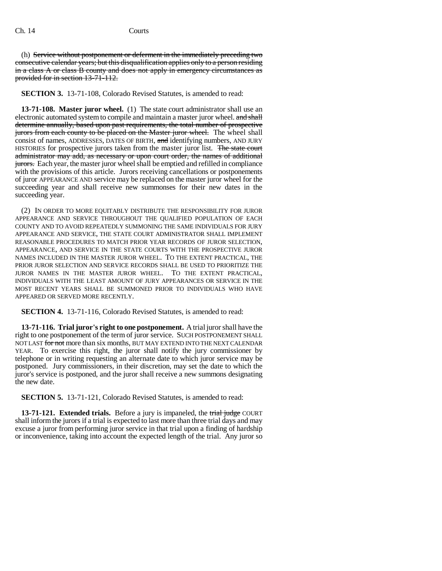(h) Service without postponement or deferment in the immediately preceding two consecutive calendar years; but this disqualification applies only to a person residing in a class A or class B county and does not apply in emergency circumstances as provided for in section 13-71-112.

**SECTION 3.** 13-71-108, Colorado Revised Statutes, is amended to read:

**13-71-108. Master juror wheel.** (1) The state court administrator shall use an electronic automated system to compile and maintain a master juror wheel. and shall determine annually, based upon past requirements, the total number of prospective jurors from each county to be placed on the Master juror wheel. The wheel shall consist of names, ADDRESSES, DATES OF BIRTH, and identifying numbers, AND JURY HISTORIES for prospective jurors taken from the master juror list. The state court administrator may add, as necessary or upon court order, the names of additional **jurors.** Each year, the master juror wheel shall be emptied and refilled in compliance with the provisions of this article. Jurors receiving cancellations or postponements of juror APPEARANCE AND service may be replaced on the master juror wheel for the succeeding year and shall receive new summonses for their new dates in the succeeding year.

(2) IN ORDER TO MORE EQUITABLY DISTRIBUTE THE RESPONSIBILITY FOR JUROR APPEARANCE AND SERVICE THROUGHOUT THE QUALIFIED POPULATION OF EACH COUNTY AND TO AVOID REPEATEDLY SUMMONING THE SAME INDIVIDUALS FOR JURY APPEARANCE AND SERVICE, THE STATE COURT ADMINISTRATOR SHALL IMPLEMENT REASONABLE PROCEDURES TO MATCH PRIOR YEAR RECORDS OF JUROR SELECTION, APPEARANCE, AND SERVICE IN THE STATE COURTS WITH THE PROSPECTIVE JUROR NAMES INCLUDED IN THE MASTER JUROR WHEEL. TO THE EXTENT PRACTICAL, THE PRIOR JUROR SELECTION AND SERVICE RECORDS SHALL BE USED TO PRIORITIZE THE JUROR NAMES IN THE MASTER JUROR WHEEL. TO THE EXTENT PRACTICAL, INDIVIDUALS WITH THE LEAST AMOUNT OF JURY APPEARANCES OR SERVICE IN THE MOST RECENT YEARS SHALL BE SUMMONED PRIOR TO INDIVIDUALS WHO HAVE APPEARED OR SERVED MORE RECENTLY.

**SECTION 4.** 13-71-116, Colorado Revised Statutes, is amended to read:

**13-71-116. Trial juror's right to one postponement.** A trial juror shall have the right to one postponement of the term of juror service. SUCH POSTPONEMENT SHALL NOT LAST for not more than six months, BUT MAY EXTEND INTO THE NEXT CALENDAR YEAR. To exercise this right, the juror shall notify the jury commissioner by telephone or in writing requesting an alternate date to which juror service may be postponed. Jury commissioners, in their discretion, may set the date to which the juror's service is postponed, and the juror shall receive a new summons designating the new date.

**SECTION 5.** 13-71-121, Colorado Revised Statutes, is amended to read:

**13-71-121. Extended trials.** Before a jury is impaneled, the trial judge COURT shall inform the jurors if a trial is expected to last more than three trial days and may excuse a juror from performing juror service in that trial upon a finding of hardship or inconvenience, taking into account the expected length of the trial. Any juror so